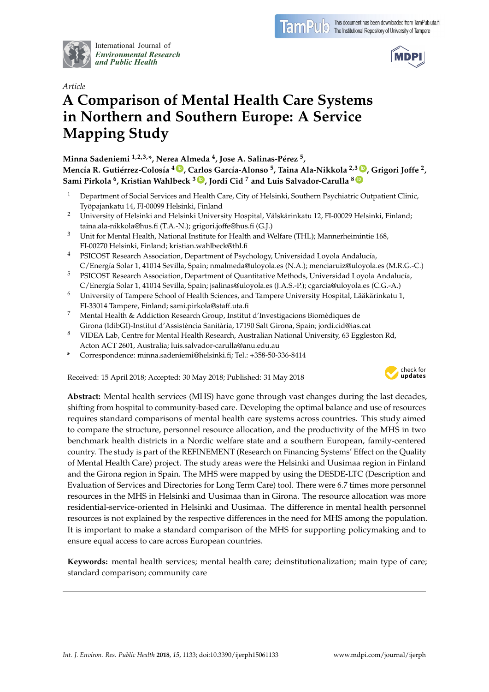

International Journal of *[Environmental Research](http://www.mdpi.com/journal/ijerph) and Public Health*



# *Article* **A Comparison of Mental Health Care Systems in Northern and Southern Europe: A Service Mapping Study**

**Minna Sadeniemi 1,2,3,\*, Nerea Almeda <sup>4</sup> , Jose A. Salinas-Pérez <sup>5</sup> ,** Mencía R. Gutiérrez-Colosía <sup>4 (D</sup>, Carlos García-Alonso <sup>5</sup>, Taina Ala-Nikkola <sup>2,3 (D</sup>, Grigori Joffe <sup>2</sup>, **Sami Pirkola <sup>6</sup> , Kristian Wahlbeck <sup>3</sup> [ID](https://orcid.org/0000-0003-3754-3933) , Jordi Cid <sup>7</sup> and Luis Salvador-Carulla <sup>8</sup> [ID](https://orcid.org/0000-0002-5742-9866)**

- <sup>1</sup> Department of Social Services and Health Care, City of Helsinki, Southern Psychiatric Outpatient Clinic, Työpajankatu 14, FI-00099 Helsinki, Finland
- <sup>2</sup> University of Helsinki and Helsinki University Hospital, Välskärinkatu 12, FI-00029 Helsinki, Finland; taina.ala-nikkola@hus.fi (T.A.-N.); grigori.joffe@hus.fi (G.J.)
- $3$  Unit for Mental Health, National Institute for Health and Welfare (THL); Mannerheimintie 168, FI-00270 Helsinki, Finland; kristian.wahlbeck@thl.fi
- <sup>4</sup> PSICOST Research Association, Department of Psychology, Universidad Loyola Andalucía, C/Energía Solar 1, 41014 Sevilla, Spain; nmalmeda@uloyola.es (N.A.); menciaruiz@uloyola.es (M.R.G.-C.)
- <sup>5</sup> PSICOST Research Association, Department of Quantitative Methods, Universidad Loyola Andalucía, C/Energía Solar 1, 41014 Sevilla, Spain; jsalinas@uloyola.es (J.A.S.-P.); cgarcia@uloyola.es (C.G.-A.)
- <sup>6</sup> University of Tampere School of Health Sciences, and Tampere University Hospital, Lääkärinkatu 1, FI-33014 Tampere, Finland; sami.pirkola@staff.uta.fi
- <sup>7</sup> Mental Health & Addiction Research Group, Institut d'Investigacions Biomèdiques de Girona (IdibGI)-Institut d'Assistència Sanitària, 17190 Salt Girona, Spain; jordi.cid@ias.cat
- <sup>8</sup> VIDEA Lab, Centre for Mental Health Research, Australian National University, 63 Eggleston Rd, Acton ACT 2601, Australia; luis.salvador-carulla@anu.edu.au
- **\*** Correspondence: minna.sadeniemi@helsinki.fi; Tel.: +358-50-336-8414

Received: 15 April 2018; Accepted: 30 May 2018; Published: 31 May 2018



**Abstract:** Mental health services (MHS) have gone through vast changes during the last decades, shifting from hospital to community-based care. Developing the optimal balance and use of resources requires standard comparisons of mental health care systems across countries. This study aimed to compare the structure, personnel resource allocation, and the productivity of the MHS in two benchmark health districts in a Nordic welfare state and a southern European, family-centered country. The study is part of the REFINEMENT (Research on Financing Systems' Effect on the Quality of Mental Health Care) project. The study areas were the Helsinki and Uusimaa region in Finland and the Girona region in Spain. The MHS were mapped by using the DESDE-LTC (Description and Evaluation of Services and Directories for Long Term Care) tool. There were 6.7 times more personnel resources in the MHS in Helsinki and Uusimaa than in Girona. The resource allocation was more residential-service-oriented in Helsinki and Uusimaa. The difference in mental health personnel resources is not explained by the respective differences in the need for MHS among the population. It is important to make a standard comparison of the MHS for supporting policymaking and to ensure equal access to care across European countries.

**Keywords:** mental health services; mental health care; deinstitutionalization; main type of care; standard comparison; community care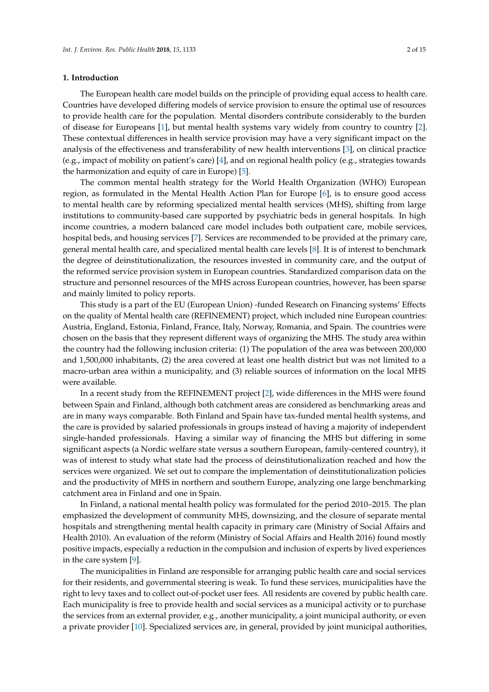#### **1. Introduction**

The European health care model builds on the principle of providing equal access to health care. Countries have developed differing models of service provision to ensure the optimal use of resources to provide health care for the population. Mental disorders contribute considerably to the burden of disease for Europeans [\[1\]](#page-11-0), but mental health systems vary widely from country to country [\[2\]](#page-11-1). These contextual differences in health service provision may have a very significant impact on the analysis of the effectiveness and transferability of new health interventions [\[3\]](#page-11-2), on clinical practice (e.g., impact of mobility on patient's care) [\[4\]](#page-11-3), and on regional health policy (e.g., strategies towards the harmonization and equity of care in Europe) [\[5\]](#page-11-4).

The common mental health strategy for the World Health Organization (WHO) European region, as formulated in the Mental Health Action Plan for Europe [\[6\]](#page-11-5), is to ensure good access to mental health care by reforming specialized mental health services (MHS), shifting from large institutions to community-based care supported by psychiatric beds in general hospitals. In high income countries, a modern balanced care model includes both outpatient care, mobile services, hospital beds, and housing services [\[7\]](#page-11-6). Services are recommended to be provided at the primary care, general mental health care, and specialized mental health care levels [\[8\]](#page-11-7). It is of interest to benchmark the degree of deinstitutionalization, the resources invested in community care, and the output of the reformed service provision system in European countries. Standardized comparison data on the structure and personnel resources of the MHS across European countries, however, has been sparse and mainly limited to policy reports.

This study is a part of the EU (European Union) -funded Research on Financing systems' Effects on the quality of Mental health care (REFINEMENT) project, which included nine European countries: Austria, England, Estonia, Finland, France, Italy, Norway, Romania, and Spain. The countries were chosen on the basis that they represent different ways of organizing the MHS. The study area within the country had the following inclusion criteria: (1) The population of the area was between 200,000 and 1,500,000 inhabitants, (2) the area covered at least one health district but was not limited to a macro-urban area within a municipality, and (3) reliable sources of information on the local MHS were available.

In a recent study from the REFINEMENT project [\[2\]](#page-11-1), wide differences in the MHS were found between Spain and Finland, although both catchment areas are considered as benchmarking areas and are in many ways comparable. Both Finland and Spain have tax-funded mental health systems, and the care is provided by salaried professionals in groups instead of having a majority of independent single-handed professionals. Having a similar way of financing the MHS but differing in some significant aspects (a Nordic welfare state versus a southern European, family-centered country), it was of interest to study what state had the process of deinstitutionalization reached and how the services were organized. We set out to compare the implementation of deinstitutionalization policies and the productivity of MHS in northern and southern Europe, analyzing one large benchmarking catchment area in Finland and one in Spain.

In Finland, a national mental health policy was formulated for the period 2010–2015. The plan emphasized the development of community MHS, downsizing, and the closure of separate mental hospitals and strengthening mental health capacity in primary care (Ministry of Social Affairs and Health 2010). An evaluation of the reform (Ministry of Social Affairs and Health 2016) found mostly positive impacts, especially a reduction in the compulsion and inclusion of experts by lived experiences in the care system [\[9\]](#page-11-8).

The municipalities in Finland are responsible for arranging public health care and social services for their residents, and governmental steering is weak. To fund these services, municipalities have the right to levy taxes and to collect out-of-pocket user fees. All residents are covered by public health care. Each municipality is free to provide health and social services as a municipal activity or to purchase the services from an external provider, e.g., another municipality, a joint municipal authority, or even a private provider [\[10\]](#page-11-9). Specialized services are, in general, provided by joint municipal authorities,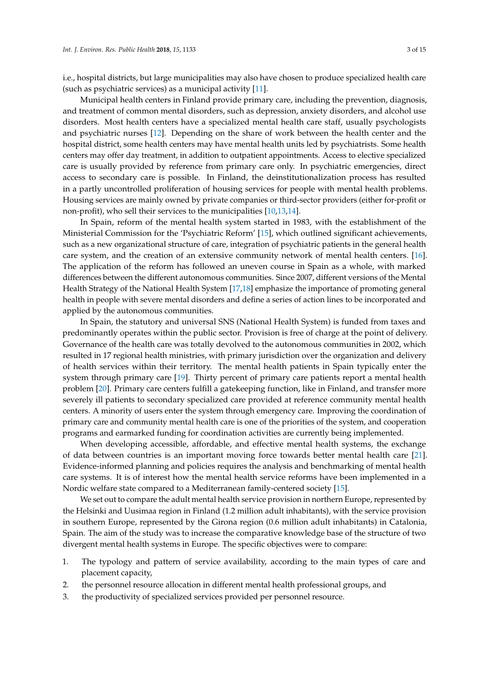i.e., hospital districts, but large municipalities may also have chosen to produce specialized health care (such as psychiatric services) as a municipal activity [\[11\]](#page-11-10).

Municipal health centers in Finland provide primary care, including the prevention, diagnosis, and treatment of common mental disorders, such as depression, anxiety disorders, and alcohol use disorders. Most health centers have a specialized mental health care staff, usually psychologists and psychiatric nurses [\[12\]](#page-12-0). Depending on the share of work between the health center and the hospital district, some health centers may have mental health units led by psychiatrists. Some health centers may offer day treatment, in addition to outpatient appointments. Access to elective specialized care is usually provided by reference from primary care only. In psychiatric emergencies, direct access to secondary care is possible. In Finland, the deinstitutionalization process has resulted in a partly uncontrolled proliferation of housing services for people with mental health problems. Housing services are mainly owned by private companies or third-sector providers (either for-profit or non-profit), who sell their services to the municipalities [\[10](#page-11-9)[,13](#page-12-1)[,14\]](#page-12-2).

In Spain, reform of the mental health system started in 1983, with the establishment of the Ministerial Commission for the 'Psychiatric Reform' [\[15\]](#page-12-3), which outlined significant achievements, such as a new organizational structure of care, integration of psychiatric patients in the general health care system, and the creation of an extensive community network of mental health centers. [\[16\]](#page-12-4). The application of the reform has followed an uneven course in Spain as a whole, with marked differences between the different autonomous communities. Since 2007, different versions of the Mental Health Strategy of the National Health System [\[17,](#page-12-5)[18\]](#page-12-6) emphasize the importance of promoting general health in people with severe mental disorders and define a series of action lines to be incorporated and applied by the autonomous communities.

In Spain, the statutory and universal SNS (National Health System) is funded from taxes and predominantly operates within the public sector. Provision is free of charge at the point of delivery. Governance of the health care was totally devolved to the autonomous communities in 2002, which resulted in 17 regional health ministries, with primary jurisdiction over the organization and delivery of health services within their territory. The mental health patients in Spain typically enter the system through primary care [\[19\]](#page-12-7). Thirty percent of primary care patients report a mental health problem [\[20\]](#page-12-8). Primary care centers fulfill a gatekeeping function, like in Finland, and transfer more severely ill patients to secondary specialized care provided at reference community mental health centers. A minority of users enter the system through emergency care. Improving the coordination of primary care and community mental health care is one of the priorities of the system, and cooperation programs and earmarked funding for coordination activities are currently being implemented.

When developing accessible, affordable, and effective mental health systems, the exchange of data between countries is an important moving force towards better mental health care [\[21\]](#page-12-9). Evidence-informed planning and policies requires the analysis and benchmarking of mental health care systems. It is of interest how the mental health service reforms have been implemented in a Nordic welfare state compared to a Mediterranean family-centered society [\[15\]](#page-12-3).

We set out to compare the adult mental health service provision in northern Europe, represented by the Helsinki and Uusimaa region in Finland (1.2 million adult inhabitants), with the service provision in southern Europe, represented by the Girona region (0.6 million adult inhabitants) in Catalonia, Spain. The aim of the study was to increase the comparative knowledge base of the structure of two divergent mental health systems in Europe. The specific objectives were to compare:

- 1. The typology and pattern of service availability, according to the main types of care and placement capacity,
- 2. the personnel resource allocation in different mental health professional groups, and
- 3. the productivity of specialized services provided per personnel resource.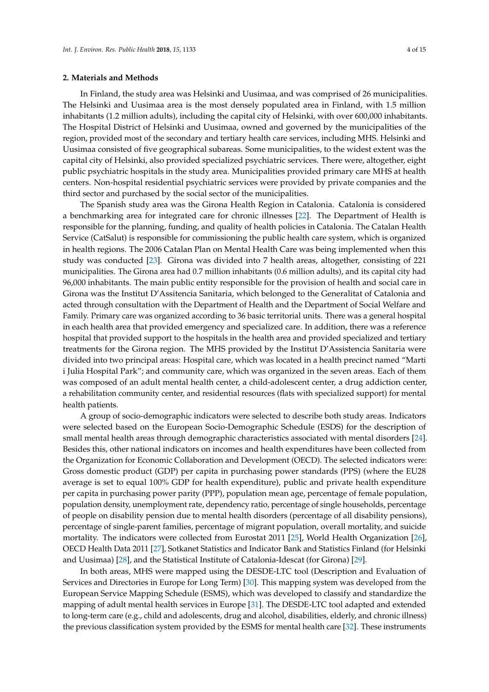#### **2. Materials and Methods**

In Finland, the study area was Helsinki and Uusimaa, and was comprised of 26 municipalities. The Helsinki and Uusimaa area is the most densely populated area in Finland, with 1.5 million inhabitants (1.2 million adults), including the capital city of Helsinki, with over 600,000 inhabitants. The Hospital District of Helsinki and Uusimaa, owned and governed by the municipalities of the region, provided most of the secondary and tertiary health care services, including MHS. Helsinki and Uusimaa consisted of five geographical subareas. Some municipalities, to the widest extent was the capital city of Helsinki, also provided specialized psychiatric services. There were, altogether, eight public psychiatric hospitals in the study area. Municipalities provided primary care MHS at health centers. Non-hospital residential psychiatric services were provided by private companies and the third sector and purchased by the social sector of the municipalities.

The Spanish study area was the Girona Health Region in Catalonia. Catalonia is considered a benchmarking area for integrated care for chronic illnesses [\[22\]](#page-12-10). The Department of Health is responsible for the planning, funding, and quality of health policies in Catalonia. The Catalan Health Service (CatSalut) is responsible for commissioning the public health care system, which is organized in health regions. The 2006 Catalan Plan on Mental Health Care was being implemented when this study was conducted [\[23\]](#page-12-11). Girona was divided into 7 health areas, altogether, consisting of 221 municipalities. The Girona area had 0.7 million inhabitants (0.6 million adults), and its capital city had 96,000 inhabitants. The main public entity responsible for the provision of health and social care in Girona was the Institut D'Assitencia Sanitaria, which belonged to the Generalitat of Catalonia and acted through consultation with the Department of Health and the Department of Social Welfare and Family. Primary care was organized according to 36 basic territorial units. There was a general hospital in each health area that provided emergency and specialized care. In addition, there was a reference hospital that provided support to the hospitals in the health area and provided specialized and tertiary treatments for the Girona region. The MHS provided by the Institut D'Assistencia Sanitaria were divided into two principal areas: Hospital care, which was located in a health precinct named "Marti i Julia Hospital Park"; and community care, which was organized in the seven areas. Each of them was composed of an adult mental health center, a child-adolescent center, a drug addiction center, a rehabilitation community center, and residential resources (flats with specialized support) for mental health patients.

A group of socio-demographic indicators were selected to describe both study areas. Indicators were selected based on the European Socio-Demographic Schedule (ESDS) for the description of small mental health areas through demographic characteristics associated with mental disorders [\[24\]](#page-12-12). Besides this, other national indicators on incomes and health expenditures have been collected from the Organization for Economic Collaboration and Development (OECD). The selected indicators were: Gross domestic product (GDP) per capita in purchasing power standards (PPS) (where the EU28 average is set to equal 100% GDP for health expenditure), public and private health expenditure per capita in purchasing power parity (PPP), population mean age, percentage of female population, population density, unemployment rate, dependency ratio, percentage of single households, percentage of people on disability pension due to mental health disorders (percentage of all disability pensions), percentage of single-parent families, percentage of migrant population, overall mortality, and suicide mortality. The indicators were collected from Eurostat 2011 [\[25\]](#page-12-13), World Health Organization [\[26\]](#page-12-14), OECD Health Data 2011 [\[27\]](#page-12-15), Sotkanet Statistics and Indicator Bank and Statistics Finland (for Helsinki and Uusimaa) [\[28\]](#page-12-16), and the Statistical Institute of Catalonia-Idescat (for Girona) [\[29\]](#page-12-17).

In both areas, MHS were mapped using the DESDE-LTC tool (Description and Evaluation of Services and Directories in Europe for Long Term) [\[30\]](#page-12-18). This mapping system was developed from the European Service Mapping Schedule (ESMS), which was developed to classify and standardize the mapping of adult mental health services in Europe [\[31\]](#page-13-0). The DESDE-LTC tool adapted and extended to long-term care (e.g., child and adolescents, drug and alcohol, disabilities, elderly, and chronic illness) the previous classification system provided by the ESMS for mental health care [\[32\]](#page-13-1). These instruments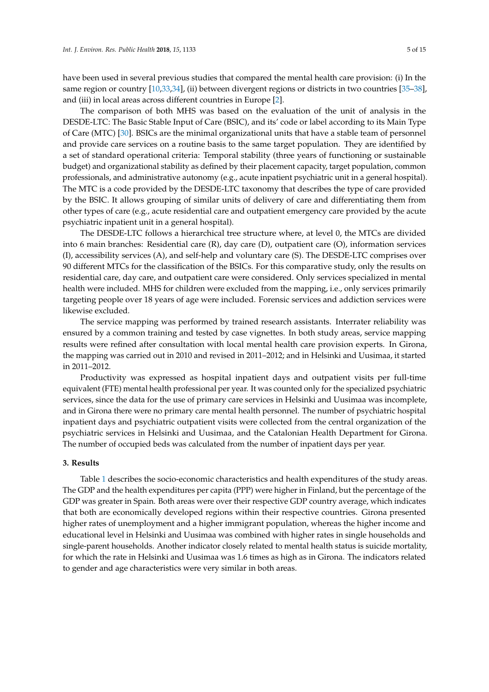have been used in several previous studies that compared the mental health care provision: (i) In the same region or country [\[10,](#page-11-9)[33,](#page-13-2)[34\]](#page-13-3), (ii) between divergent regions or districts in two countries [\[35](#page-13-4)[–38\]](#page-13-5), and (iii) in local areas across different countries in Europe [\[2\]](#page-11-1).

The comparison of both MHS was based on the evaluation of the unit of analysis in the DESDE-LTC: The Basic Stable Input of Care (BSIC), and its' code or label according to its Main Type of Care (MTC) [\[30\]](#page-12-18). BSICs are the minimal organizational units that have a stable team of personnel and provide care services on a routine basis to the same target population. They are identified by a set of standard operational criteria: Temporal stability (three years of functioning or sustainable budget) and organizational stability as defined by their placement capacity, target population, common professionals, and administrative autonomy (e.g., acute inpatient psychiatric unit in a general hospital). The MTC is a code provided by the DESDE-LTC taxonomy that describes the type of care provided by the BSIC. It allows grouping of similar units of delivery of care and differentiating them from other types of care (e.g., acute residential care and outpatient emergency care provided by the acute psychiatric inpatient unit in a general hospital).

The DESDE-LTC follows a hierarchical tree structure where, at level 0, the MTCs are divided into 6 main branches: Residential care (R), day care (D), outpatient care (O), information services (I), accessibility services (A), and self-help and voluntary care (S). The DESDE-LTC comprises over 90 different MTCs for the classification of the BSICs. For this comparative study, only the results on residential care, day care, and outpatient care were considered. Only services specialized in mental health were included. MHS for children were excluded from the mapping, i.e., only services primarily targeting people over 18 years of age were included. Forensic services and addiction services were likewise excluded.

The service mapping was performed by trained research assistants. Interrater reliability was ensured by a common training and tested by case vignettes. In both study areas, service mapping results were refined after consultation with local mental health care provision experts. In Girona, the mapping was carried out in 2010 and revised in 2011–2012; and in Helsinki and Uusimaa, it started in 2011–2012.

Productivity was expressed as hospital inpatient days and outpatient visits per full-time equivalent (FTE) mental health professional per year. It was counted only for the specialized psychiatric services, since the data for the use of primary care services in Helsinki and Uusimaa was incomplete, and in Girona there were no primary care mental health personnel. The number of psychiatric hospital inpatient days and psychiatric outpatient visits were collected from the central organization of the psychiatric services in Helsinki and Uusimaa, and the Catalonian Health Department for Girona. The number of occupied beds was calculated from the number of inpatient days per year.

# **3. Results**

Table [1](#page-5-0) describes the socio-economic characteristics and health expenditures of the study areas. The GDP and the health expenditures per capita (PPP) were higher in Finland, but the percentage of the GDP was greater in Spain. Both areas were over their respective GDP country average, which indicates that both are economically developed regions within their respective countries. Girona presented higher rates of unemployment and a higher immigrant population, whereas the higher income and educational level in Helsinki and Uusimaa was combined with higher rates in single households and single-parent households. Another indicator closely related to mental health status is suicide mortality, for which the rate in Helsinki and Uusimaa was 1.6 times as high as in Girona. The indicators related to gender and age characteristics were very similar in both areas.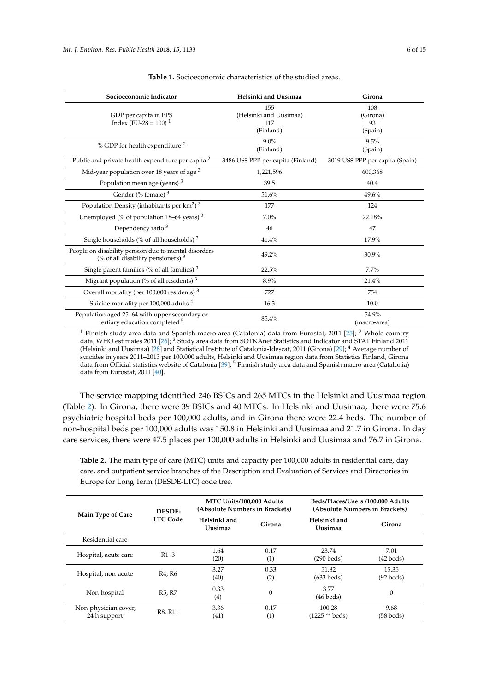<span id="page-5-0"></span>

| Socioeconomic Indicator                                                                               | Helsinki and Uusimaa               | Girona                           |  |
|-------------------------------------------------------------------------------------------------------|------------------------------------|----------------------------------|--|
|                                                                                                       | 155                                | 108                              |  |
| GDP per capita in PPS                                                                                 | (Helsinki and Uusimaa)             | (Girona)                         |  |
| Index (EU-28 = 100) <sup>1</sup>                                                                      | 117                                | 93                               |  |
|                                                                                                       | (Finland)                          | (Spain)                          |  |
| % GDP for health expenditure <sup>2</sup>                                                             | $9.0\%$                            | 9.5%                             |  |
|                                                                                                       | (Finland)                          | (Spain)                          |  |
| Public and private health expenditure per capita <sup>2</sup>                                         | 3486 US\$ PPP per capita (Finland) | 3019 US\$ PPP per capita (Spain) |  |
| Mid-year population over 18 years of age <sup>3</sup>                                                 | 1,221,596                          | 600,368                          |  |
| Population mean age (years) <sup>3</sup>                                                              | 39.5                               | 40.4                             |  |
| Gender (% female) $3$                                                                                 | 51.6%                              | 49.6%                            |  |
| Population Density (inhabitants per $km2$ ) <sup>3</sup>                                              | 177                                | 124                              |  |
| Unemployed (% of population 18–64 years) <sup>3</sup>                                                 | 7.0%                               | 22.18%                           |  |
| Dependency ratio <sup>3</sup>                                                                         | 46                                 | 47                               |  |
| Single households (% of all households) $3$                                                           | 41.4%                              | 17.9%                            |  |
| People on disability pension due to mental disorders<br>(% of all disability pensioners) <sup>3</sup> | 49.2%                              | 30.9%                            |  |
| Single parent families (% of all families) $3$                                                        | 22.5%                              | $7.7\%$                          |  |
| Migrant population (% of all residents) <sup>3</sup>                                                  | 8.9%                               | 21.4%                            |  |
| Overall mortality (per 100,000 residents) <sup>3</sup>                                                | 727                                | 754                              |  |
| Suicide mortality per 100,000 adults <sup>4</sup>                                                     | 16.3                               | 10.0                             |  |
| Population aged 25-64 with upper secondary or                                                         | 85.4%                              | 54.9%                            |  |
| tertiary education completed <sup>5</sup>                                                             |                                    | (macro-area)                     |  |

**Table 1.** Socioeconomic characteristics of the studied areas.

 $^1$  Finnish study area data and Spanish macro-area (Catalonia) data from Eurostat, 2011 [\[25\]](#page-12-13);  $^2$  Whole country data, WHO estimates 2011 [\[26\]](#page-12-14);  $^3$  Study area data from SOTKAnet Statistics and Indicator and STAT Finland 2011 (Helsinki and Uusimaa) [\[28\]](#page-12-16) and Statistical Institute of Catalonia-Idescat, 2011 (Girona) [\[29\]](#page-12-17); <sup>4</sup> Average number of suicides in years 2011–2013 per 100,000 adults, Helsinki and Uusimaa region data from Statistics Finland, Girona data from Official statistics website of Catalonia [\[39\]](#page-13-6); <sup>5</sup> Finnish study area data and Spanish macro-area (Catalonia) data from Eurostat, 2011 [\[40\]](#page-13-7).

The service mapping identified 246 BSICs and 265 MTCs in the Helsinki and Uusimaa region (Table [2\)](#page-6-0). In Girona, there were 39 BSICs and 40 MTCs. In Helsinki and Uusimaa, there were 75.6 psychiatric hospital beds per 100,000 adults, and in Girona there were 22.4 beds. The number of non-hospital beds per 100,000 adults was 150.8 in Helsinki and Uusimaa and 21.7 in Girona. In day care services, there were 47.5 places per 100,000 adults in Helsinki and Uusimaa and 76.7 in Girona.

**Table 2.** The main type of care (MTC) units and capacity per 100,000 adults in residential care, day care, and outpatient service branches of the Description and Evaluation of Services and Directories in Europe for Long Term (DESDE-LTC) code tree.

| Main Type of Care                    | <b>DESDE-</b>                   | MTC Units/100,000 Adults<br>(Absolute Numbers in Brackets) |             | Beds/Places/Users /100,000 Adults<br>(Absolute Numbers in Brackets) |                      |
|--------------------------------------|---------------------------------|------------------------------------------------------------|-------------|---------------------------------------------------------------------|----------------------|
|                                      | <b>LTC Code</b>                 | Helsinki and<br>Uusimaa                                    | Girona      | Helsinki and<br>Uusimaa                                             | Girona               |
| Residential care                     |                                 |                                                            |             |                                                                     |                      |
| Hospital, acute care                 | $R1-3$                          | 1.64<br>(20)                                               | 0.17<br>(1) | 23.74<br>(290 beds)                                                 | 7.01<br>(42 beds)    |
| Hospital, non-acute                  | R4. R6                          | 3.27<br>(40)                                               | 0.33<br>(2) | 51.82<br>$(633$ beds)                                               | 15.35<br>$(92$ beds) |
| Non-hospital                         | R <sub>5</sub> . R <sub>7</sub> | 0.33<br>$\left(4\right)$                                   | $\Omega$    | 3.77<br>$(46 \text{ beds})$                                         | $\mathbf{0}$         |
| Non-physician cover,<br>24 h support | R8, R11                         | 3.36<br>(41)                                               | 0.17<br>(1) | 100.28<br>(1225 ** beds)                                            | 9.68<br>(58 beds)    |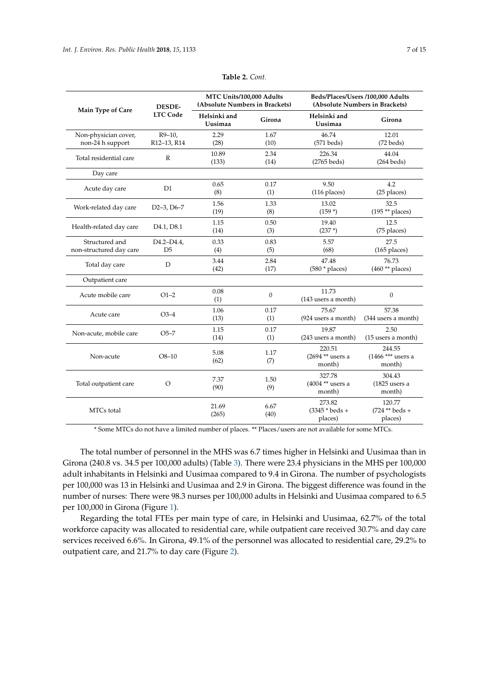<span id="page-6-0"></span>

|                                           |                                     | MTC Units/100,000 Adults       |                  | Beds/Places/Users /100,000 Adults            |                                        |  |
|-------------------------------------------|-------------------------------------|--------------------------------|------------------|----------------------------------------------|----------------------------------------|--|
|                                           | <b>DESDE-</b>                       | (Absolute Numbers in Brackets) |                  | (Absolute Numbers in Brackets)               |                                        |  |
| Main Type of Care                         | <b>LTC Code</b>                     | Helsinki and<br>Uusimaa        | Girona           | Helsinki and<br>Uusimaa                      | Girona                                 |  |
| Non-physician cover,<br>non-24 h support  | $R9-10$ ,<br>R12-13, R14            | 2.29<br>(28)                   | 1.67<br>(10)     | 46.74<br>$(571$ beds)                        | 12.01<br>$(72$ beds)                   |  |
| Total residential care                    | $\mathbb{R}$                        | 10.89<br>(133)                 | 2.34<br>(14)     | 226.34<br>$(2765$ beds)                      | 44.04<br>$(264$ beds)                  |  |
| Day care                                  |                                     |                                |                  |                                              |                                        |  |
| Acute day care                            | D1                                  | 0.65<br>(8)                    | 0.17<br>(1)      | 9.50<br>(116 places)                         | 4.2<br>(25 places)                     |  |
| Work-related day care                     | $D2-3$ , $D6-7$                     | 1.56<br>(19)                   | 1.33<br>(8)      | 13.02<br>$(159*)$                            | 32.5<br>$(195 ** places)$              |  |
| Health-related day care                   | D <sub>4.1</sub> , D <sub>8.1</sub> | 1.15<br>(14)                   | 0.50<br>(3)      | 19.40<br>$(237*)$                            | 12.5<br>(75 places)                    |  |
| Structured and<br>non-structured day care | D4.2-D4.4,<br>D <sub>5</sub>        | 0.33<br>(4)                    | 0.83<br>(5)      | 5.57<br>(68)                                 | 27.5<br>$(165$ places)                 |  |
| Total day care                            | D                                   | 3.44<br>(42)                   | 2.84<br>(17)     | 47.48<br>$(580 * places)$                    | 76.73<br>$(460**$ places)              |  |
| Outpatient care                           |                                     |                                |                  |                                              |                                        |  |
| Acute mobile care                         | $O1-2$                              | 0.08<br>(1)                    | $\boldsymbol{0}$ | 11.73<br>(143 users a month)                 | $\mathbf{0}$                           |  |
| Acute care                                | $O3-4$                              | 1.06<br>(13)                   | 0.17<br>(1)      | 75.67<br>(924 users a month)                 | 57.38<br>(344 users a month)           |  |
| Non-acute, mobile care                    | O <sub>5–7</sub>                    | 1.15<br>(14)                   | 0.17<br>(1)      | 19.87<br>(243 users a month)                 | 2.50<br>(15 users a month)             |  |
| Non-acute                                 | $O8 - 10$                           | 5.08<br>(62)                   | 1.17<br>(7)      | 220.51<br>(2694 ** users a<br>month)         | 244.55<br>$(1466***$ users a<br>month) |  |
| Total outpatient care                     | O                                   | 7.37<br>(90)                   | 1.50<br>(9)      | 327.78<br>$(4004**$ users a<br>month)        | 304.43<br>$(1825$ users a<br>month)    |  |
| MTCs total                                |                                     | 21.69<br>(265)                 | 6.67<br>(40)     | 273.82<br>$(3345 * \text{beds} +$<br>places) | 120.77<br>$(724 ** beds +$<br>places)  |  |

**Table 2.** *Cont.*

\* Some MTCs do not have a limited number of places. \*\* Places/users are not available for some MTCs.

The total number of personnel in the MHS was 6.7 times higher in Helsinki and Uusimaa than in Girona (240.8 vs. 34.5 per 100,000 adults) (Table [3\)](#page-7-0). There were 23.4 physicians in the MHS per 100,000 adult inhabitants in Helsinki and Uusimaa compared to 9.4 in Girona. The number of psychologists per 100,000 was 13 in Helsinki and Uusimaa and 2.9 in Girona. The biggest difference was found in the number of nurses: There were 98.3 nurses per 100,000 adults in Helsinki and Uusimaa compared to 6.5 per 100,000 in Girona (Figure [1\)](#page-7-1).

Regarding the total FTEs per main type of care, in Helsinki and Uusimaa, 62.7% of the total workforce capacity was allocated to residential care, while outpatient care received 30.7% and day care services received 6.6%. In Girona, 49.1% of the personnel was allocated to residential care, 29.2% to outpatient care, and 21.7% to day care (Figure [2\)](#page-8-0).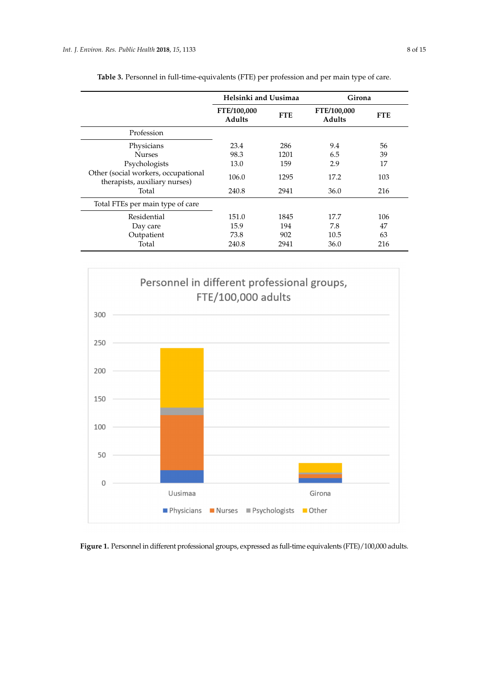<span id="page-7-0"></span>

|                                                                      | Helsinki and Uusimaa         |            | Girona                       |            |
|----------------------------------------------------------------------|------------------------------|------------|------------------------------|------------|
|                                                                      | FTE/100,000<br><b>Adults</b> | <b>FTE</b> | FTE/100,000<br><b>Adults</b> | <b>FTE</b> |
| Profession                                                           |                              |            |                              |            |
| Physicians                                                           | 23.4                         | 286        | 9.4                          | 56         |
| <b>Nurses</b>                                                        | 98.3                         | 1201       | 6.5                          | 39         |
| Psychologists                                                        | 13.0                         | 159        | 2.9                          | 17         |
| Other (social workers, occupational<br>therapists, auxiliary nurses) | 106.0                        | 1295       | 17.2                         | 103        |
| Total                                                                | 240.8                        | 2941       | 36.0                         | 216        |
| Total FTEs per main type of care                                     |                              |            |                              |            |
| Residential                                                          | 151.0                        | 1845       | 17.7                         | 106        |
| Day care                                                             | 15.9                         | 194        | 7.8                          | 47         |
| Outpatient                                                           | 73.8                         | 902        | 10.5                         | 63         |
| Total                                                                | 240.8                        | 2941       | 36.0                         | 216        |

**Table 3.** Personnel in full-time-equivalents (FTE) per profession and per main type of care.

<span id="page-7-1"></span>

**Figure 1.** Personnel in different professional groups, expressed as full-time equivalents (FTE)/100,000 adults.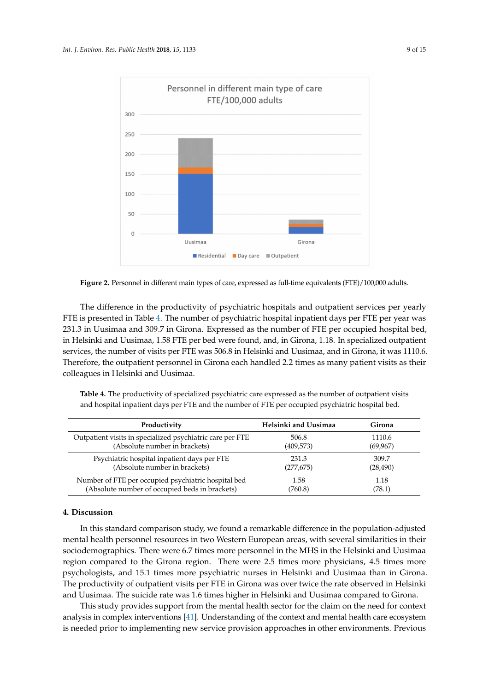<span id="page-8-0"></span>

**Figure 2.** Personnel in different main types of care, expressed as full-time equivalents (FTE)/100,000 adults.

The difference in the productivity of psychiatric hospitals and outpatient services per yearly FTE is presented in Table [4.](#page-8-1) The number of psychiatric hospital inpatient days per FTE per year was 231.3 in Uusimaa and 309.7 in Girona. Expressed as the number of FTE per occupied hospital bed, in Helsinki and Uusimaa, 1.58 FTE per bed were found, and, in Girona, 1.18. In specialized outpatient services, the number of visits per FTE was 506.8 in Helsinki and Uusimaa, and in Girona, it was 1110.6. Therefore, the outpatient personnel in Girona each handled 2.2 times as many patient visits as their colleagues in Helsinki and Uusimaa.

|  |  |  | and hospital inpatient days per FTE and the number of FTE per occupied psychiatric hospital bed. |
|--|--|--|--------------------------------------------------------------------------------------------------|
|  |  |  |                                                                                                  |

<span id="page-8-1"></span>**Table 4.** The productivity of specialized psychiatric care expressed as the number of outpatient visits

| Productivity                                              | Helsinki and Uusimaa | Girona    |
|-----------------------------------------------------------|----------------------|-----------|
| Outpatient visits in specialized psychiatric care per FTE | 506.8                | 1110.6    |
| (Absolute number in brackets)                             | (409,573)            | (69, 967) |
| Psychiatric hospital inpatient days per FTE               | 231.3                | 309.7     |
| (Absolute number in brackets)                             | (277, 675)           | (28, 490) |
| Number of FTE per occupied psychiatric hospital bed       | 1.58                 | 1.18      |
| (Absolute number of occupied beds in brackets)            | (760.8)              | (78.1)    |

# **4. Discussion**

In this standard comparison study, we found a remarkable difference in the population-adjusted mental health personnel resources in two Western European areas, with several similarities in their sociodemographics. There were 6.7 times more personnel in the MHS in the Helsinki and Uusimaa region compared to the Girona region. There were 2.5 times more physicians, 4.5 times more psychologists, and 15.1 times more psychiatric nurses in Helsinki and Uusimaa than in Girona. The productivity of outpatient visits per FTE in Girona was over twice the rate observed in Helsinki and Uusimaa. The suicide rate was 1.6 times higher in Helsinki and Uusimaa compared to Girona.

This study provides support from the mental health sector for the claim on the need for context analysis in complex interventions [\[41\]](#page-13-8). Understanding of the context and mental health care ecosystem is needed prior to implementing new service provision approaches in other environments. Previous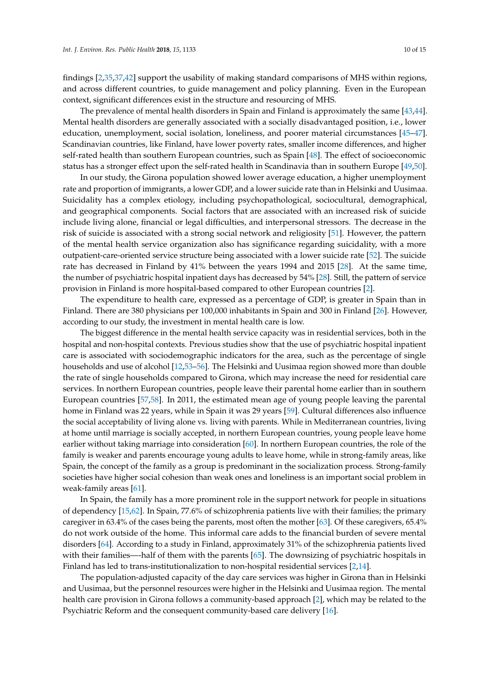findings [\[2,](#page-11-1)[35,](#page-13-4)[37,](#page-13-9)[42\]](#page-13-10) support the usability of making standard comparisons of MHS within regions, and across different countries, to guide management and policy planning. Even in the European context, significant differences exist in the structure and resourcing of MHS.

The prevalence of mental health disorders in Spain and Finland is approximately the same [\[43](#page-13-11)[,44\]](#page-13-12). Mental health disorders are generally associated with a socially disadvantaged position, i.e., lower education, unemployment, social isolation, loneliness, and poorer material circumstances [\[45–](#page-13-13)[47\]](#page-13-14). Scandinavian countries, like Finland, have lower poverty rates, smaller income differences, and higher self-rated health than southern European countries, such as Spain [\[48\]](#page-13-15). The effect of socioeconomic status has a stronger effect upon the self-rated health in Scandinavia than in southern Europe [\[49](#page-13-16)[,50\]](#page-13-17).

In our study, the Girona population showed lower average education, a higher unemployment rate and proportion of immigrants, a lower GDP, and a lower suicide rate than in Helsinki and Uusimaa. Suicidality has a complex etiology, including psychopathological, sociocultural, demographical, and geographical components. Social factors that are associated with an increased risk of suicide include living alone, financial or legal difficulties, and interpersonal stressors. The decrease in the risk of suicide is associated with a strong social network and religiosity [\[51\]](#page-14-0). However, the pattern of the mental health service organization also has significance regarding suicidality, with a more outpatient-care-oriented service structure being associated with a lower suicide rate [\[52\]](#page-14-1). The suicide rate has decreased in Finland by 41% between the years 1994 and 2015 [\[28\]](#page-12-16). At the same time, the number of psychiatric hospital inpatient days has decreased by 54% [\[28\]](#page-12-16). Still, the pattern of service provision in Finland is more hospital-based compared to other European countries [\[2\]](#page-11-1).

The expenditure to health care, expressed as a percentage of GDP, is greater in Spain than in Finland. There are 380 physicians per 100,000 inhabitants in Spain and 300 in Finland [\[26\]](#page-12-14). However, according to our study, the investment in mental health care is low.

The biggest difference in the mental health service capacity was in residential services, both in the hospital and non-hospital contexts. Previous studies show that the use of psychiatric hospital inpatient care is associated with sociodemographic indicators for the area, such as the percentage of single households and use of alcohol [\[12,](#page-12-0)[53–](#page-14-2)[56\]](#page-14-3). The Helsinki and Uusimaa region showed more than double the rate of single households compared to Girona, which may increase the need for residential care services. In northern European countries, people leave their parental home earlier than in southern European countries [\[57](#page-14-4)[,58\]](#page-14-5). In 2011, the estimated mean age of young people leaving the parental home in Finland was 22 years, while in Spain it was 29 years [\[59\]](#page-14-6). Cultural differences also influence the social acceptability of living alone vs. living with parents. While in Mediterranean countries, living at home until marriage is socially accepted, in northern European countries, young people leave home earlier without taking marriage into consideration [\[60\]](#page-14-7). In northern European countries, the role of the family is weaker and parents encourage young adults to leave home, while in strong-family areas, like Spain, the concept of the family as a group is predominant in the socialization process. Strong-family societies have higher social cohesion than weak ones and loneliness is an important social problem in weak-family areas [\[61\]](#page-14-8).

In Spain, the family has a more prominent role in the support network for people in situations of dependency [\[15,](#page-12-3)[62\]](#page-14-9). In Spain, 77.6% of schizophrenia patients live with their families; the primary caregiver in 63.4% of the cases being the parents, most often the mother [\[63\]](#page-14-10). Of these caregivers, 65.4% do not work outside of the home. This informal care adds to the financial burden of severe mental disorders [\[64\]](#page-14-11). According to a study in Finland, approximately 31% of the schizophrenia patients lived with their families—-half of them with the parents [\[65\]](#page-14-12). The downsizing of psychiatric hospitals in Finland has led to trans-institutionalization to non-hospital residential services [\[2](#page-11-1)[,14\]](#page-12-2).

The population-adjusted capacity of the day care services was higher in Girona than in Helsinki and Uusimaa, but the personnel resources were higher in the Helsinki and Uusimaa region. The mental health care provision in Girona follows a community-based approach [\[2\]](#page-11-1), which may be related to the Psychiatric Reform and the consequent community-based care delivery [\[16\]](#page-12-4).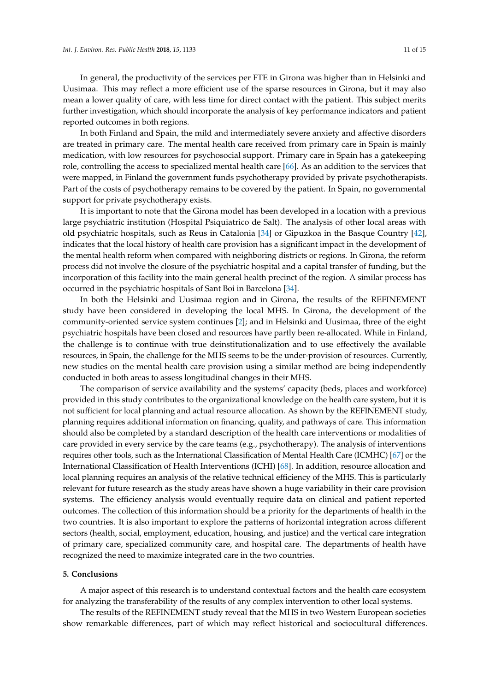In general, the productivity of the services per FTE in Girona was higher than in Helsinki and Uusimaa. This may reflect a more efficient use of the sparse resources in Girona, but it may also mean a lower quality of care, with less time for direct contact with the patient. This subject merits further investigation, which should incorporate the analysis of key performance indicators and patient reported outcomes in both regions.

In both Finland and Spain, the mild and intermediately severe anxiety and affective disorders are treated in primary care. The mental health care received from primary care in Spain is mainly medication, with low resources for psychosocial support. Primary care in Spain has a gatekeeping role, controlling the access to specialized mental health care [\[66\]](#page-14-13). As an addition to the services that were mapped, in Finland the government funds psychotherapy provided by private psychotherapists. Part of the costs of psychotherapy remains to be covered by the patient. In Spain, no governmental support for private psychotherapy exists.

It is important to note that the Girona model has been developed in a location with a previous large psychiatric institution (Hospital Psiquiatrico de Salt). The analysis of other local areas with old psychiatric hospitals, such as Reus in Catalonia [\[34\]](#page-13-3) or Gipuzkoa in the Basque Country [\[42\]](#page-13-10), indicates that the local history of health care provision has a significant impact in the development of the mental health reform when compared with neighboring districts or regions. In Girona, the reform process did not involve the closure of the psychiatric hospital and a capital transfer of funding, but the incorporation of this facility into the main general health precinct of the region. A similar process has occurred in the psychiatric hospitals of Sant Boi in Barcelona [\[34\]](#page-13-3).

In both the Helsinki and Uusimaa region and in Girona, the results of the REFINEMENT study have been considered in developing the local MHS. In Girona, the development of the community-oriented service system continues [\[2\]](#page-11-1); and in Helsinki and Uusimaa, three of the eight psychiatric hospitals have been closed and resources have partly been re-allocated. While in Finland, the challenge is to continue with true deinstitutionalization and to use effectively the available resources, in Spain, the challenge for the MHS seems to be the under-provision of resources. Currently, new studies on the mental health care provision using a similar method are being independently conducted in both areas to assess longitudinal changes in their MHS.

The comparison of service availability and the systems' capacity (beds, places and workforce) provided in this study contributes to the organizational knowledge on the health care system, but it is not sufficient for local planning and actual resource allocation. As shown by the REFINEMENT study, planning requires additional information on financing, quality, and pathways of care. This information should also be completed by a standard description of the health care interventions or modalities of care provided in every service by the care teams (e.g., psychotherapy). The analysis of interventions requires other tools, such as the International Classification of Mental Health Care (ICMHC) [\[67\]](#page-14-14) or the International Classification of Health Interventions (ICHI) [\[68\]](#page-14-15). In addition, resource allocation and local planning requires an analysis of the relative technical efficiency of the MHS. This is particularly relevant for future research as the study areas have shown a huge variability in their care provision systems. The efficiency analysis would eventually require data on clinical and patient reported outcomes. The collection of this information should be a priority for the departments of health in the two countries. It is also important to explore the patterns of horizontal integration across different sectors (health, social, employment, education, housing, and justice) and the vertical care integration of primary care, specialized community care, and hospital care. The departments of health have recognized the need to maximize integrated care in the two countries.

## **5. Conclusions**

A major aspect of this research is to understand contextual factors and the health care ecosystem for analyzing the transferability of the results of any complex intervention to other local systems.

The results of the REFINEMENT study reveal that the MHS in two Western European societies show remarkable differences, part of which may reflect historical and sociocultural differences.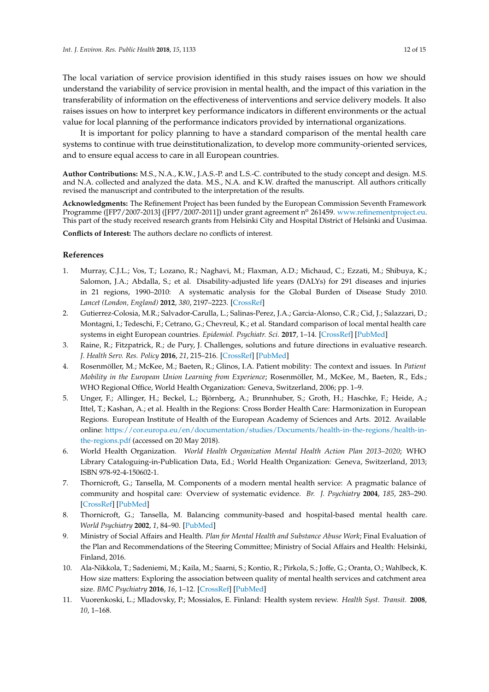The local variation of service provision identified in this study raises issues on how we should understand the variability of service provision in mental health, and the impact of this variation in the transferability of information on the effectiveness of interventions and service delivery models. It also raises issues on how to interpret key performance indicators in different environments or the actual value for local planning of the performance indicators provided by international organizations.

It is important for policy planning to have a standard comparison of the mental health care systems to continue with true deinstitutionalization, to develop more community-oriented services, and to ensure equal access to care in all European countries.

**Author Contributions:** M.S., N.A., K.W., J.A.S.-P. and L.S.-C. contributed to the study concept and design. M.S. and N.A. collected and analyzed the data. M.S., N.A. and K.W. drafted the manuscript. All authors critically revised the manuscript and contributed to the interpretation of the results.

**Acknowledgments:** The Refinement Project has been funded by the European Commission Seventh Framework Programme ([FP7/2007-2013] ([FP7/2007-2011]) under grant agreement nº 261459. [www.refinementproject.eu.](www.refinementproject.eu) This part of the study received research grants from Helsinki City and Hospital District of Helsinki and Uusimaa.

**Conflicts of Interest:** The authors declare no conflicts of interest.

## **References**

- <span id="page-11-0"></span>1. Murray, C.J.L.; Vos, T.; Lozano, R.; Naghavi, M.; Flaxman, A.D.; Michaud, C.; Ezzati, M.; Shibuya, K.; Salomon, J.A.; Abdalla, S.; et al. Disability-adjusted life years (DALYs) for 291 diseases and injuries in 21 regions, 1990–2010: A systematic analysis for the Global Burden of Disease Study 2010. *Lancet (London, England)* **2012**, *380*, 2197–2223. [\[CrossRef\]](http://dx.doi.org/10.1016/S0140-6736(12)61689-4)
- <span id="page-11-1"></span>2. Gutierrez-Colosia, M.R.; Salvador-Carulla, L.; Salinas-Perez, J.A.; Garcia-Alonso, C.R.; Cid, J.; Salazzari, D.; Montagni, I.; Tedeschi, F.; Cetrano, G.; Chevreul, K.; et al. Standard comparison of local mental health care systems in eight European countries. *Epidemiol. Psychiatr. Sci.* **2017**, 1–14. [\[CrossRef\]](http://dx.doi.org/10.1017/S2045796017000415) [\[PubMed\]](http://www.ncbi.nlm.nih.gov/pubmed/28918762)
- <span id="page-11-2"></span>3. Raine, R.; Fitzpatrick, R.; de Pury, J. Challenges, solutions and future directions in evaluative research. *J. Health Serv. Res. Policy* **2016**, *21*, 215–216. [\[CrossRef\]](http://dx.doi.org/10.1177/1355819616664495) [\[PubMed\]](http://www.ncbi.nlm.nih.gov/pubmed/27522068)
- <span id="page-11-3"></span>4. Rosenmöller, M.; McKee, M.; Baeten, R.; Glinos, I.A. Patient mobility: The context and issues. In *Patient Mobility in the European Union Learning from Experience*; Rosenmöller, M., McKee, M., Baeten, R., Eds.; WHO Regional Office, World Health Organization: Geneva, Switzerland, 2006; pp. 1–9.
- <span id="page-11-4"></span>5. Unger, F.; Allinger, H.; Beckel, L.; Björnberg, A.; Brunnhuber, S.; Groth, H.; Haschke, F.; Heide, A.; Ittel, T.; Kashan, A.; et al. Health in the Regions: Cross Border Health Care: Harmonization in European Regions. European Institute of Health of the European Academy of Sciences and Arts. 2012. Available online: [https://cor.europa.eu/en/documentation/studies/Documents/health-in-the-regions/health-in](https://cor.europa.eu/en/documentation/studies/Documents/health-in-the-regions/health-in-the-regions.pdf)[the-regions.pdf](https://cor.europa.eu/en/documentation/studies/Documents/health-in-the-regions/health-in-the-regions.pdf) (accessed on 20 May 2018).
- <span id="page-11-5"></span>6. World Health Organization. *World Health Organization Mental Health Action Plan 2013–2020*; WHO Library Cataloguing-in-Publication Data, Ed.; World Health Organization: Geneva, Switzerland, 2013; ISBN 978-92-4-150602-1.
- <span id="page-11-6"></span>7. Thornicroft, G.; Tansella, M. Components of a modern mental health service: A pragmatic balance of community and hospital care: Overview of systematic evidence. *Br. J. Psychiatry* **2004**, *185*, 283–290. [\[CrossRef\]](http://dx.doi.org/10.1192/bjp.185.4.283) [\[PubMed\]](http://www.ncbi.nlm.nih.gov/pubmed/15458987)
- <span id="page-11-7"></span>8. Thornicroft, G.; Tansella, M. Balancing community-based and hospital-based mental health care. *World Psychiatry* **2002**, *1*, 84–90. [\[PubMed\]](http://www.ncbi.nlm.nih.gov/pubmed/16946858)
- <span id="page-11-8"></span>9. Ministry of Social Affairs and Health. *Plan for Mental Health and Substance Abuse Work*; Final Evaluation of the Plan and Recommendations of the Steering Committee; Ministry of Social Affairs and Health: Helsinki, Finland, 2016.
- <span id="page-11-9"></span>10. Ala-Nikkola, T.; Sadeniemi, M.; Kaila, M.; Saarni, S.; Kontio, R.; Pirkola, S.; Joffe, G.; Oranta, O.; Wahlbeck, K. How size matters: Exploring the association between quality of mental health services and catchment area size. *BMC Psychiatry* **2016**, *16*, 1–12. [\[CrossRef\]](http://dx.doi.org/10.1186/s12888-016-0992-5) [\[PubMed\]](http://www.ncbi.nlm.nih.gov/pubmed/27520368)
- <span id="page-11-10"></span>11. Vuorenkoski, L.; Mladovsky, P.; Mossialos, E. Finland: Health system review. *Health Syst. Transit.* **2008**, *10*, 1–168.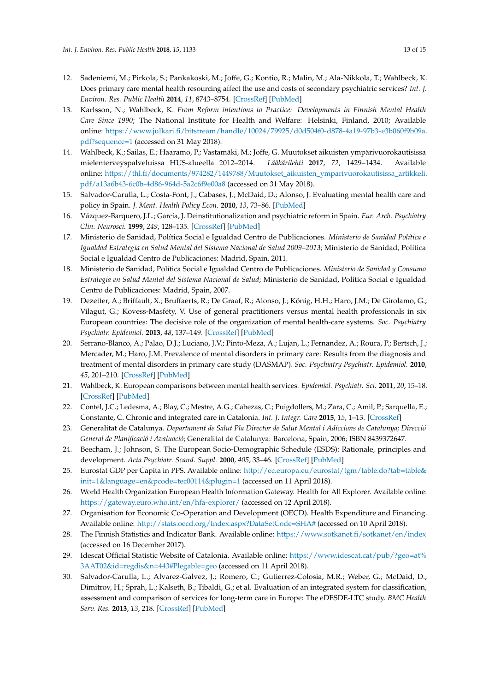- <span id="page-12-0"></span>12. Sadeniemi, M.; Pirkola, S.; Pankakoski, M.; Joffe, G.; Kontio, R.; Malin, M.; Ala-Nikkola, T.; Wahlbeck, K. Does primary care mental health resourcing affect the use and costs of secondary psychiatric services? *Int. J. Environ. Res. Public Health* **2014**, *11*, 8743–8754. [\[CrossRef\]](http://dx.doi.org/10.3390/ijerph110908743) [\[PubMed\]](http://www.ncbi.nlm.nih.gov/pubmed/25162710)
- <span id="page-12-1"></span>13. Karlsson, N.; Wahlbeck, K. *From Reform intentions to Practice: Developments in Finnish Mental Health Care Since 1990*; The National Institute for Health and Welfare: Helsinki, Finland, 2010; Available online: [https://www.julkari.fi/bitstream/handle/10024/79925/d0d504f0-d878-4a19-97b3-e3b060f9b09a.](https://www.julkari.fi/bitstream/handle/10024/79925/d0d504f0-d878-4a19-97b3-e3b060f9b09a.pdf?sequence=1) [pdf?sequence=1](https://www.julkari.fi/bitstream/handle/10024/79925/d0d504f0-d878-4a19-97b3-e3b060f9b09a.pdf?sequence=1) (accessed on 31 May 2018).
- <span id="page-12-2"></span>14. Wahlbeck, K.; Sailas, E.; Haaramo, P.; Vastamäki, M.; Joffe, G. Muutokset aikuisten ympärivuorokautisissa mielenterveyspalveluissa HUS-alueella 2012–2014. *Lääkärilehti* **2017**, *72*, 1429–1434. Available online: [https://thl.fi/documents/974282/1449788/Muutokset\\_aikuisten\\_ymparivuorokautisissa\\_artikkeli.](https://thl.fi/documents/974282/1449788/Muutokset_aikuisten_ymparivuorokautisissa_artikkeli.pdf/a13a6b43-6c0b-4d86-964d-5a2c6f9e00a8) [pdf/a13a6b43-6c0b-4d86-964d-5a2c6f9e00a8](https://thl.fi/documents/974282/1449788/Muutokset_aikuisten_ymparivuorokautisissa_artikkeli.pdf/a13a6b43-6c0b-4d86-964d-5a2c6f9e00a8) (accessed on 31 May 2018).
- <span id="page-12-3"></span>15. Salvador-Carulla, L.; Costa-Font, J.; Cabases, J.; McDaid, D.; Alonso, J. Evaluating mental health care and policy in Spain. *J. Ment. Health Policy Econ.* **2010**, *13*, 73–86. [\[PubMed\]](http://www.ncbi.nlm.nih.gov/pubmed/20919594)
- <span id="page-12-4"></span>16. Vázquez-Barquero, J.L.; García, J. Deinstitutionalization and psychiatric reform in Spain. *Eur. Arch. Psychiatry Clin. Neurosci.* **1999**, *249*, 128–135. [\[CrossRef\]](http://dx.doi.org/10.1007/s004060050077) [\[PubMed\]](http://www.ncbi.nlm.nih.gov/pubmed/10433126)
- <span id="page-12-5"></span>17. Ministerio de Sanidad, Política Social e Igualdad Centro de Publicaciones. *Ministerio de Sanidad Política e Igualdad Estrategia en Salud Mental del Sistema Nacional de Salud 2009–2013*; Ministerio de Sanidad, Política Social e Igualdad Centro de Publicaciones: Madrid, Spain, 2011.
- <span id="page-12-6"></span>18. Ministerio de Sanidad, Política Social e Igualdad Centro de Publicaciones. *Ministerio de Sanidad y Consumo Estrategia en Salud Mental del Sistema Nacional de Salud*; Ministerio de Sanidad, Política Social e Igualdad Centro de Publicaciones: Madrid, Spain, 2007.
- <span id="page-12-7"></span>19. Dezetter, A.; Briffault, X.; Bruffaerts, R.; De Graaf, R.; Alonso, J.; König, H.H.; Haro, J.M.; De Girolamo, G.; Vilagut, G.; Kovess-Masféty, V. Use of general practitioners versus mental health professionals in six European countries: The decisive role of the organization of mental health-care systems. *Soc. Psychiatry Psychiatr. Epidemiol.* **2013**, *48*, 137–149. [\[CrossRef\]](http://dx.doi.org/10.1007/s00127-012-0522-9) [\[PubMed\]](http://www.ncbi.nlm.nih.gov/pubmed/22644000)
- <span id="page-12-8"></span>20. Serrano-Blanco, A.; Palao, D.J.; Luciano, J.V.; Pinto-Meza, A.; Lujan, L.; Fernandez, A.; Roura, P.; Bertsch, J.; Mercader, M.; Haro, J.M. Prevalence of mental disorders in primary care: Results from the diagnosis and treatment of mental disorders in primary care study (DASMAP). *Soc. Psychiatry Psychiatr. Epidemiol.* **2010**, *45*, 201–210. [\[CrossRef\]](http://dx.doi.org/10.1007/s00127-009-0056-y) [\[PubMed\]](http://www.ncbi.nlm.nih.gov/pubmed/19452110)
- <span id="page-12-9"></span>21. Wahlbeck, K. European comparisons between mental health services. *Epidemiol. Psychiatr. Sci.* **2011**, *20*, 15–18. [\[CrossRef\]](http://dx.doi.org/10.1017/S2045796011000060) [\[PubMed\]](http://www.ncbi.nlm.nih.gov/pubmed/21657110)
- <span id="page-12-10"></span>22. Contel, J.C.; Ledesma, A.; Blay, C.; Mestre, A.G.; Cabezas, C.; Puigdollers, M.; Zara, C.; Amil, P.; Sarquella, E.; Constante, C. Chronic and integrated care in Catalonia. *Int. J. Integr. Care* **2015**, *15*, 1–13. [\[CrossRef\]](http://dx.doi.org/10.5334/ijic.2205)
- <span id="page-12-11"></span>23. Generalitat de Catalunya. *Departament de Salut Pla Director de Salut Mental i Adiccions de Catalunya; Direcció General de Planificació i Avaluació*; Generalitat de Catalunya: Barcelona, Spain, 2006; ISBN 8439372647.
- <span id="page-12-12"></span>24. Beecham, J.; Johnson, S. The European Socio-Demographic Schedule (ESDS): Rationale, principles and development. *Acta Psychiatr. Scand. Suppl.* **2000**, *405*, 33–46. [\[CrossRef\]](http://dx.doi.org/10.1111/j.0902-4441.2000.t01-1-acp28-02.x) [\[PubMed\]](http://www.ncbi.nlm.nih.gov/pubmed/11129096)
- <span id="page-12-13"></span>25. Eurostat GDP per Capita in PPS. Available online: [http://ec.europa.eu/eurostat/tgm/table.do?tab=table&](http://ec.europa.eu/eurostat/tgm/table.do?tab=table&init=1&language=en&pcode=tec00114&plugin=1) [init=1&language=en&pcode=tec00114&plugin=1](http://ec.europa.eu/eurostat/tgm/table.do?tab=table&init=1&language=en&pcode=tec00114&plugin=1) (accessed on 11 April 2018).
- <span id="page-12-14"></span>26. World Health Organization European Health Information Gateway. Health for All Explorer. Available online: <https://gateway.euro.who.int/en/hfa-explorer/> (accessed on 12 April 2018).
- <span id="page-12-15"></span>27. Organisation for Economic Co-Operation and Development (OECD). Health Expenditure and Financing. Available online: <http://stats.oecd.org/Index.aspx?DataSetCode=SHA#> (accessed on 10 April 2018).
- <span id="page-12-16"></span>28. The Finnish Statistics and Indicator Bank. Available online: <https://www.sotkanet.fi/sotkanet/en/index> (accessed on 16 December 2017).
- <span id="page-12-17"></span>29. Idescat Official Statistic Website of Catalonia. Available online: [https://www.idescat.cat/pub/?geo=at%](https://www.idescat.cat/pub/?geo=at%3AAT02&id=regdis&n=443#Plegable=geo) [3AAT02&id=regdis&n=443#Plegable=geo](https://www.idescat.cat/pub/?geo=at%3AAT02&id=regdis&n=443#Plegable=geo) (accessed on 11 April 2018).
- <span id="page-12-18"></span>30. Salvador-Carulla, L.; Alvarez-Galvez, J.; Romero, C.; Gutierrez-Colosia, M.R.; Weber, G.; McDaid, D.; Dimitrov, H.; Sprah, L.; Kalseth, B.; Tibaldi, G.; et al. Evaluation of an integrated system for classification, assessment and comparison of services for long-term care in Europe: The eDESDE-LTC study. *BMC Health Serv. Res.* **2013**, *13*, 218. [\[CrossRef\]](http://dx.doi.org/10.1186/1472-6963-13-218) [\[PubMed\]](http://www.ncbi.nlm.nih.gov/pubmed/23768163)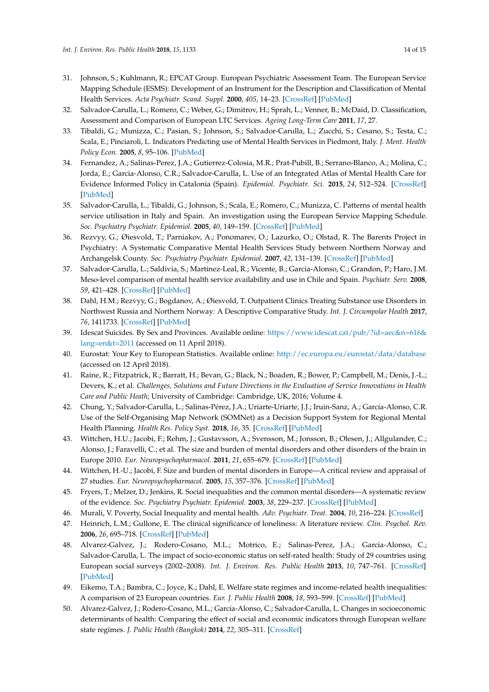- <span id="page-13-0"></span>31. Johnson, S.; Kuhlmann, R.; EPCAT Group. European Psychiatric Assessment Team. The European Service Mapping Schedule (ESMS): Development of an Instrument for the Description and Classification of Mental Health Services. *Acta Psychiatr. Scand. Suppl.* **2000**, *405*, 14–23. [\[CrossRef\]](http://dx.doi.org/10.1111/j.0902-4441.2000.t01-1-acp28-03.x) [\[PubMed\]](http://www.ncbi.nlm.nih.gov/pubmed/11129094)
- <span id="page-13-1"></span>32. Salvador-Carulla, L.; Romero, C.; Weber, G.; Dimitrov, H.; Sprah, L.; Venner, B.; McDaid, D. Classification, Assessment and Comparison of European LTC Services. *Ageing Long-Term Care* **2011**, *17*, 27.
- <span id="page-13-2"></span>33. Tibaldi, G.; Munizza, C.; Pasian, S.; Johnson, S.; Salvador-Carulla, L.; Zucchi, S.; Cesano, S.; Testa, C.; Scala, E.; Pinciaroli, L. Indicators Predicting use of Mental Health Services in Piedmont, Italy. *J. Ment. Health Policy Econ.* **2005**, *8*, 95–106. [\[PubMed\]](http://www.ncbi.nlm.nih.gov/pubmed/15998981)
- <span id="page-13-3"></span>34. Fernandez, A.; Salinas-Perez, J.A.; Gutierrez-Colosia, M.R.; Prat-Pubill, B.; Serrano-Blanco, A.; Molina, C.; Jorda, E.; Garcia-Alonso, C.R.; Salvador-Carulla, L. Use of an Integrated Atlas of Mental Health Care for Evidence Informed Policy in Catalonia (Spain). *Epidemiol. Psychiatr. Sci.* **2015**, *24*, 512–524. [\[CrossRef\]](http://dx.doi.org/10.1017/S2045796014000511) [\[PubMed\]](http://www.ncbi.nlm.nih.gov/pubmed/25226091)
- <span id="page-13-4"></span>35. Salvador-Carulla, L.; Tibaldi, G.; Johnson, S.; Scala, E.; Romero, C.; Munizza, C. Patterns of mental health service utilisation in Italy and Spain. An investigation using the European Service Mapping Schedule. *Soc. Psychiatry Psychiatr. Epidemiol.* **2005**, *40*, 149–159. [\[CrossRef\]](http://dx.doi.org/10.1007/s00127-005-0860-y) [\[PubMed\]](http://www.ncbi.nlm.nih.gov/pubmed/15685407)
- 36. Rezvyy, G.; Øiesvold, T.; Parniakov, A.; Ponomarev, O.; Lazurko, O.; Olstad, R. The Barents Project in Psychiatry: A Systematic Comparative Mental Health Services Study between Northern Norway and Archangelsk County. *Soc. Psychiatry Psychiatr. Epidemiol.* **2007**, *42*, 131–139. [\[CrossRef\]](http://dx.doi.org/10.1007/s00127-006-0141-4) [\[PubMed\]](http://www.ncbi.nlm.nih.gov/pubmed/17160593)
- <span id="page-13-9"></span>37. Salvador-Carulla, L.; Saldivia, S.; Martinez-Leal, R.; Vicente, B.; Garcia-Alonso, C.; Grandon, P.; Haro, J.M. Meso-level comparison of mental health service availability and use in Chile and Spain. *Psychiatr. Serv.* **2008**, *59*, 421–428. [\[CrossRef\]](http://dx.doi.org/10.1176/ps.2008.59.4.421) [\[PubMed\]](http://www.ncbi.nlm.nih.gov/pubmed/18378842)
- <span id="page-13-5"></span>38. Dahl, H.M.; Rezvyy, G.; Bogdanov, A.; Øiesvold, T. Outpatient Clinics Treating Substance use Disorders in Northwest Russia and Northern Norway: A Descriptive Comparative Study. *Int. J. Circumpolar Health* **2017**, *76*, 1411733. [\[CrossRef\]](http://dx.doi.org/10.1080/22423982.2017.1411733) [\[PubMed\]](http://www.ncbi.nlm.nih.gov/pubmed/29241406)
- <span id="page-13-6"></span>39. Idescat Suicides. By Sex and Provinces. Available online: [https://www.idescat.cat/pub/?id=aec&n=616&](https://www.idescat.cat/pub/?id=aec&n=616&lang=en&t=2011) [lang=en&t=2011](https://www.idescat.cat/pub/?id=aec&n=616&lang=en&t=2011) (accessed on 11 April 2018).
- <span id="page-13-7"></span>40. Eurostat: Your Key to European Statistics. Available online: <http://ec.europa.eu/eurostat/data/database> (accessed on 12 April 2018).
- <span id="page-13-8"></span>41. Raine, R.; Fitzpatrick, R.; Barratt, H.; Bevan, G.; Black, N.; Boaden, R.; Bower, P.; Campbell, M.; Denis, J.-L.; Devers, K.; et al. *Challenges, Solutions and Future Directions in the Evaluation of Service Innovations in Health Care and Public Heath*; University of Cambridge: Cambridge, UK, 2016; Volume 4.
- <span id="page-13-10"></span>42. Chung, Y.; Salvador-Carulla, L.; Salinas-Pérez, J.A.; Uriarte-Uriarte, J.J.; Iruin-Sanz, A.; García-Alonso, C.R. Use of the Self-Organising Map Network (SOMNet) as a Decision Support System for Regional Mental Health Planning. *Health Res. Policy Syst.* **2018**, *16*, 35. [\[CrossRef\]](http://dx.doi.org/10.1186/s12961-018-0308-y) [\[PubMed\]](http://www.ncbi.nlm.nih.gov/pubmed/29695248)
- <span id="page-13-11"></span>43. Wittchen, H.U.; Jacobi, F.; Rehm, J.; Gustavsson, A.; Svensson, M.; Jonsson, B.; Olesen, J.; Allgulander, C.; Alonso, J.; Faravelli, C.; et al. The size and burden of mental disorders and other disorders of the brain in Europe 2010. *Eur. Neuropsychopharmacol.* **2011**, *21*, 655–679. [\[CrossRef\]](http://dx.doi.org/10.1016/j.euroneuro.2011.07.018) [\[PubMed\]](http://www.ncbi.nlm.nih.gov/pubmed/21896369)
- <span id="page-13-12"></span>44. Wittchen, H.-U.; Jacobi, F. Size and burden of mental disorders in Europe—A critical review and appraisal of 27 studies. *Eur. Neuropsychopharmacol.* **2005**, *15*, 357–376. [\[CrossRef\]](http://dx.doi.org/10.1016/j.euroneuro.2005.04.012) [\[PubMed\]](http://www.ncbi.nlm.nih.gov/pubmed/15961293)
- <span id="page-13-13"></span>45. Fryers, T.; Melzer, D.; Jenkins, R. Social inequalities and the common mental disorders—A systematic review of the evidence. *Soc. Psychiatry Psychiatr. Epidemiol.* **2003**, *38*, 229–237. [\[CrossRef\]](http://dx.doi.org/10.1007/s00127-003-0627-2) [\[PubMed\]](http://www.ncbi.nlm.nih.gov/pubmed/12719837)
- 46. Murali, V. Poverty, Social Inequality and mental health. *Adv. Psychiatr. Treat.* **2004**, *10*, 216–224. [\[CrossRef\]](http://dx.doi.org/10.1192/apt.10.3.216)
- <span id="page-13-14"></span>47. Heinrich, L.M.; Gullone, E. The clinical significance of loneliness: A literature review. *Clin. Psychol. Rev.* **2006**, *26*, 695–718. [\[CrossRef\]](http://dx.doi.org/10.1016/j.cpr.2006.04.002) [\[PubMed\]](http://www.ncbi.nlm.nih.gov/pubmed/16952717)
- <span id="page-13-15"></span>48. Alvarez-Galvez, J.; Rodero-Cosano, M.L.; Motrico, E.; Salinas-Perez, J.A.; Garcia-Alonso, C.; Salvador-Carulla, L. The impact of socio-economic status on self-rated health: Study of 29 countries using European social surveys (2002–2008). *Int. J. Environ. Res. Public Health* **2013**, *10*, 747–761. [\[CrossRef\]](http://dx.doi.org/10.3390/ijerph10030747) [\[PubMed\]](http://www.ncbi.nlm.nih.gov/pubmed/23439514)
- <span id="page-13-16"></span>49. Eikemo, T.A.; Bambra, C.; Joyce, K.; Dahl, E. Welfare state regimes and income-related health inequalities: A comparison of 23 European countries. *Eur. J. Public Health* **2008**, *18*, 593–599. [\[CrossRef\]](http://dx.doi.org/10.1093/eurpub/ckn092) [\[PubMed\]](http://www.ncbi.nlm.nih.gov/pubmed/18927186)
- <span id="page-13-17"></span>50. Alvarez-Galvez, J.; Rodero-Cosano, M.L.; García-Alonso, C.; Salvador-Carulla, L. Changes in socioeconomic determinants of health: Comparing the effect of social and economic indicators through European welfare state regimes. *J. Public Health (Bangkok)* **2014**, *22*, 305–311. [\[CrossRef\]](http://dx.doi.org/10.1007/s10389-014-0623-x)